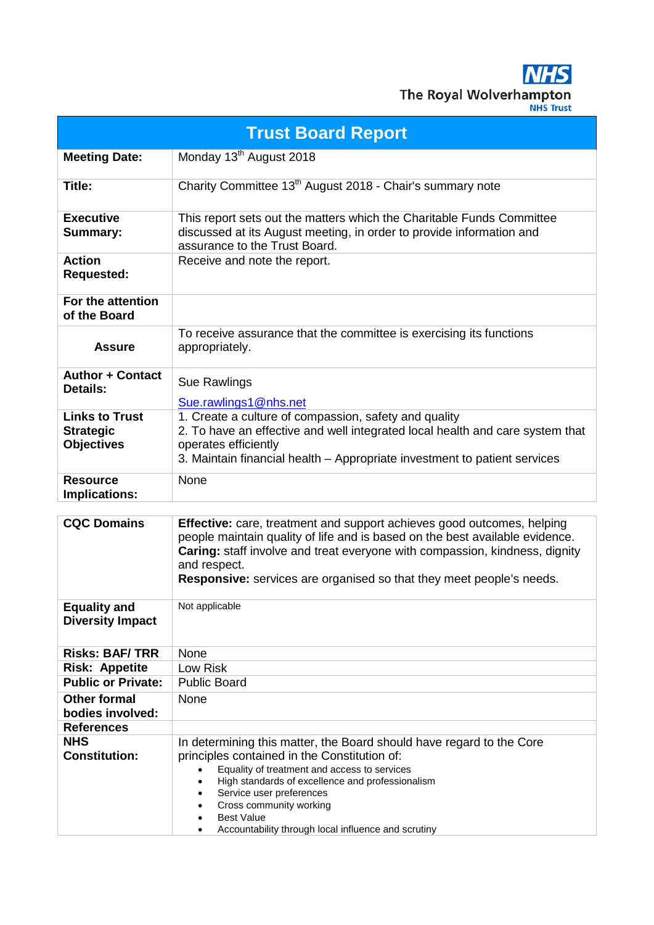**NHS** The Royal Wolverhampton

| <b>Trust Board Report</b>                                      |                                                                                                                                                                                                                                                                                                                                                                                                                 |  |  |  |  |  |
|----------------------------------------------------------------|-----------------------------------------------------------------------------------------------------------------------------------------------------------------------------------------------------------------------------------------------------------------------------------------------------------------------------------------------------------------------------------------------------------------|--|--|--|--|--|
| <b>Meeting Date:</b>                                           | Monday 13 <sup>th</sup> August 2018                                                                                                                                                                                                                                                                                                                                                                             |  |  |  |  |  |
| Title:                                                         | Charity Committee 13 <sup>th</sup> August 2018 - Chair's summary note                                                                                                                                                                                                                                                                                                                                           |  |  |  |  |  |
| <b>Executive</b><br>Summary:                                   | This report sets out the matters which the Charitable Funds Committee<br>discussed at its August meeting, in order to provide information and<br>assurance to the Trust Board.                                                                                                                                                                                                                                  |  |  |  |  |  |
| Action<br>Requested:                                           | Receive and note the report.                                                                                                                                                                                                                                                                                                                                                                                    |  |  |  |  |  |
| For the attention<br>of the Board                              |                                                                                                                                                                                                                                                                                                                                                                                                                 |  |  |  |  |  |
| <b>Assure</b>                                                  | To receive assurance that the committee is exercising its functions<br>appropriately.                                                                                                                                                                                                                                                                                                                           |  |  |  |  |  |
| <b>Author + Contact</b><br><b>Details:</b>                     | Sue Rawlings<br>Sue.rawlings1@nhs.net                                                                                                                                                                                                                                                                                                                                                                           |  |  |  |  |  |
| <b>Links to Trust</b><br><b>Strategic</b><br><b>Objectives</b> | 1. Create a culture of compassion, safety and quality<br>2. To have an effective and well integrated local health and care system that<br>operates efficiently<br>3. Maintain financial health – Appropriate investment to patient services                                                                                                                                                                     |  |  |  |  |  |
| <b>Resource</b><br><b>Implications:</b>                        | None                                                                                                                                                                                                                                                                                                                                                                                                            |  |  |  |  |  |
| <b>CQC Domains</b>                                             | <b>Effective:</b> care, treatment and support achieves good outcomes, helping<br>people maintain quality of life and is based on the best available evidence.<br>Caring: staff involve and treat everyone with compassion, kindness, dignity<br>and respect.<br><b>Responsive:</b> services are organised so that they meet people's needs.                                                                     |  |  |  |  |  |
| <b>Equality and</b><br><b>Diversity Impact</b>                 | Not applicable                                                                                                                                                                                                                                                                                                                                                                                                  |  |  |  |  |  |
| <b>Risks: BAF/ TRR</b>                                         | None                                                                                                                                                                                                                                                                                                                                                                                                            |  |  |  |  |  |
| <b>Risk: Appetite</b>                                          | Low Risk                                                                                                                                                                                                                                                                                                                                                                                                        |  |  |  |  |  |
| <b>Public or Private:</b>                                      | <b>Public Board</b>                                                                                                                                                                                                                                                                                                                                                                                             |  |  |  |  |  |
| <b>Other formal</b><br>bodies involved:                        | None                                                                                                                                                                                                                                                                                                                                                                                                            |  |  |  |  |  |
| References                                                     |                                                                                                                                                                                                                                                                                                                                                                                                                 |  |  |  |  |  |
| NHS<br><b>Constitution:</b>                                    | In determining this matter, the Board should have regard to the Core<br>principles contained in the Constitution of:<br>Equality of treatment and access to services<br>$\bullet$<br>High standards of excellence and professionalism<br>$\bullet$<br>Service user preferences<br>Cross community working<br>$\bullet$<br><b>Best Value</b><br>Accountability through local influence and scrutiny<br>$\bullet$ |  |  |  |  |  |